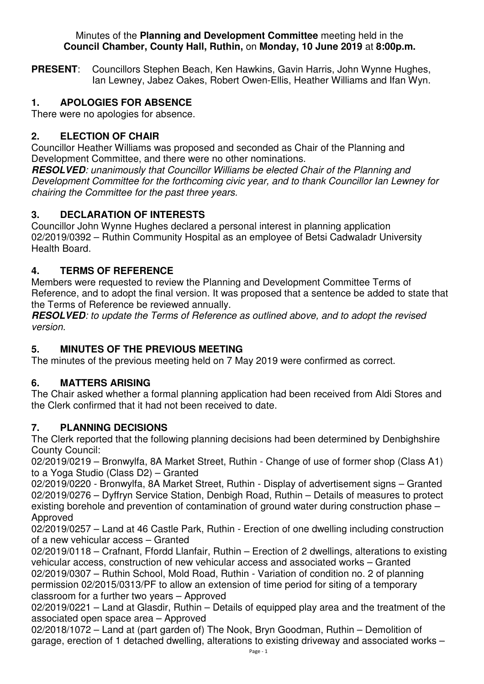#### Minutes of the **Planning and Development Committee** meeting held in the **Council Chamber, County Hall, Ruthin,** on **Monday, 10 June 2019** at **8:00p.m.**

**PRESENT**: Councillors Stephen Beach, Ken Hawkins, Gavin Harris, John Wynne Hughes, Ian Lewney, Jabez Oakes, Robert Owen-Ellis, Heather Williams and Ifan Wyn.

## **1. APOLOGIES FOR ABSENCE**

There were no apologies for absence.

### **2. ELECTION OF CHAIR**

Councillor Heather Williams was proposed and seconded as Chair of the Planning and Development Committee, and there were no other nominations.

**RESOLVED***: unanimously that Councillor Williams be elected Chair of the Planning and Development Committee for the forthcoming civic year, and to thank Councillor Ian Lewney for chairing the Committee for the past three years.* 

## **3. DECLARATION OF INTERESTS**

Councillor John Wynne Hughes declared a personal interest in planning application 02/2019/0392 – Ruthin Community Hospital as an employee of Betsi Cadwaladr University Health Board.

## **4. TERMS OF REFERENCE**

Members were requested to review the Planning and Development Committee Terms of Reference, and to adopt the final version. It was proposed that a sentence be added to state that the Terms of Reference be reviewed annually.

**RESOLVED***: to update the Terms of Reference as outlined above, and to adopt the revised version.* 

#### **5. MINUTES OF THE PREVIOUS MEETING**

The minutes of the previous meeting held on 7 May 2019 were confirmed as correct.

#### **6. MATTERS ARISING**

The Chair asked whether a formal planning application had been received from Aldi Stores and the Clerk confirmed that it had not been received to date.

#### **7. PLANNING DECISIONS**

The Clerk reported that the following planning decisions had been determined by Denbighshire County Council:

02/2019/0219 – Bronwylfa, 8A Market Street, Ruthin - Change of use of former shop (Class A1) to a Yoga Studio (Class D2) – Granted

02/2019/0220 - Bronwylfa, 8A Market Street, Ruthin - Display of advertisement signs – Granted 02/2019/0276 – Dyffryn Service Station, Denbigh Road, Ruthin – Details of measures to protect existing borehole and prevention of contamination of ground water during construction phase – Approved

02/2019/0257 – Land at 46 Castle Park, Ruthin - Erection of one dwelling including construction of a new vehicular access – Granted

02/2019/0118 – Crafnant, Ffordd Llanfair, Ruthin – Erection of 2 dwellings, alterations to existing vehicular access, construction of new vehicular access and associated works – Granted 02/2019/0307 – Ruthin School, Mold Road, Ruthin - Variation of condition no. 2 of planning permission 02/2015/0313/PF to allow an extension of time period for siting of a temporary classroom for a further two years – Approved

02/2019/0221 – Land at Glasdir, Ruthin – Details of equipped play area and the treatment of the associated open space area – Approved

02/2018/1072 – Land at (part garden of) The Nook, Bryn Goodman, Ruthin – Demolition of garage, erection of 1 detached dwelling, alterations to existing driveway and associated works –